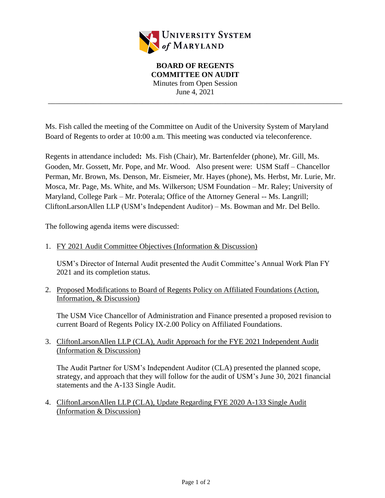

**BOARD OF REGENTS COMMITTEE ON AUDIT** Minutes from Open Session June 4, 2021

\_\_\_\_\_\_\_\_\_\_\_\_\_\_\_\_\_\_\_\_\_\_\_\_\_\_\_\_\_\_\_\_\_\_\_\_\_\_\_\_\_\_\_\_\_\_\_\_\_\_\_\_\_\_\_\_\_\_\_\_\_\_\_\_\_\_\_\_\_\_\_\_\_\_\_\_\_\_

Ms. Fish called the meeting of the Committee on Audit of the University System of Maryland Board of Regents to order at 10:00 a.m. This meeting was conducted via teleconference.

Regents in attendance included**:** Ms. Fish (Chair), Mr. Bartenfelder (phone), Mr. Gill, Ms. Gooden, Mr. Gossett, Mr. Pope, and Mr. Wood. Also present were: USM Staff – Chancellor Perman, Mr. Brown, Ms. Denson, Mr. Eismeier, Mr. Hayes (phone), Ms. Herbst, Mr. Lurie, Mr. Mosca, Mr. Page, Ms. White, and Ms. Wilkerson; USM Foundation – Mr. Raley; University of Maryland, College Park – Mr. Poterala; Office of the Attorney General -- Ms. Langrill; CliftonLarsonAllen LLP (USM's Independent Auditor) – Ms. Bowman and Mr. Del Bello.

The following agenda items were discussed:

1. FY 2021 Audit Committee Objectives (Information & Discussion)

USM's Director of Internal Audit presented the Audit Committee's Annual Work Plan FY 2021 and its completion status.

2. Proposed Modifications to Board of Regents Policy on Affiliated Foundations (Action, Information, & Discussion)

The USM Vice Chancellor of Administration and Finance presented a proposed revision to current Board of Regents Policy IX-2.00 Policy on Affiliated Foundations.

3. CliftonLarsonAllen LLP (CLA), Audit Approach for the FYE 2021 Independent Audit (Information & Discussion)

The Audit Partner for USM's Independent Auditor (CLA) presented the planned scope, strategy, and approach that they will follow for the audit of USM's June 30, 2021 financial statements and the A-133 Single Audit.

4. CliftonLarsonAllen LLP (CLA), Update Regarding FYE 2020 A-133 Single Audit (Information & Discussion)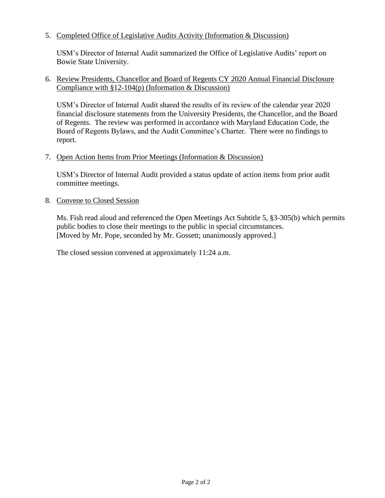## 5. Completed Office of Legislative Audits Activity (Information & Discussion)

USM's Director of Internal Audit summarized the Office of Legislative Audits' report on Bowie State University.

## 6. Review Presidents, Chancellor and Board of Regents CY 2020 Annual Financial Disclosure Compliance with  $\S 12$ -104(p) (Information & Discussion)

USM's Director of Internal Audit shared the results of its review of the calendar year 2020 financial disclosure statements from the University Presidents, the Chancellor, and the Board of Regents. The review was performed in accordance with Maryland Education Code, the Board of Regents Bylaws, and the Audit Committee's Charter. There were no findings to report.

## 7. Open Action Items from Prior Meetings (Information & Discussion)

USM's Director of Internal Audit provided a status update of action items from prior audit committee meetings.

## 8. Convene to Closed Session

Ms. Fish read aloud and referenced the Open Meetings Act Subtitle 5, §3-305(b) which permits public bodies to close their meetings to the public in special circumstances. [Moved by Mr. Pope, seconded by Mr. Gossett; unanimously approved.]

The closed session convened at approximately 11:24 a.m.